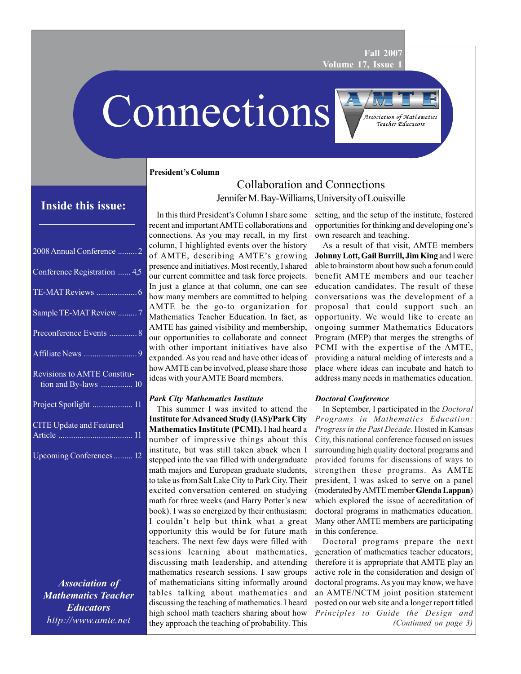**Fall 2007 Volume 17, Issue 1**

# Connections

**President's Column**

| 2008 Annual Conference  2                                  |
|------------------------------------------------------------|
| Conference Registration  4,5                               |
|                                                            |
| Sample TE-MAT Review 7                                     |
| Preconference Events  8                                    |
|                                                            |
| <b>Revisions to AMTE Constitu-</b><br>tion and By-laws  10 |
| Project Spotlight  11                                      |
| <b>CITE Update and Featured</b>                            |
| Upcoming Conferences 12                                    |
|                                                            |

*Association of Mathematics Teacher Educators http://www.amte.net*

## Collaboration and Connections Jennifer M. Bay-Williams, University of Louisville **Inside this issue:**

In this third President's Column I share some recent and important AMTE collaborations and connections. As you may recall, in my first column, I highlighted events over the history of AMTE, describing AMTE's growing presence and initiatives. Most recently, I shared our current committee and task force projects. In just a glance at that column, one can see how many members are committed to helping AMTE be the go-to organization for Mathematics Teacher Education. In fact, as AMTE has gained visibility and membership, our opportunities to collaborate and connect with other important initiatives have also expanded. As you read and have other ideas of how AMTE can be involved, please share those ideas with your AMTE Board members.

## *Park City Mathematics Institute*

This summer I was invited to attend the **Institute for Advanced Study (IAS)/Park City Mathematics Institute (PCMI).** I had heard a number of impressive things about this institute, but was still taken aback when I stepped into the van filled with undergraduate math majors and European graduate students, to take us from Salt Lake City to Park City. Their excited conversation centered on studying math for three weeks (and Harry Potter's new book). I was so energized by their enthusiasm; I couldn't help but think what a great opportunity this would be for future math teachers. The next few days were filled with sessions learning about mathematics, discussing math leadership, and attending mathematics research sessions. I saw groups of mathematicians sitting informally around tables talking about mathematics and discussing the teaching of mathematics. I heard high school math teachers sharing about how they approach the teaching of probability. This

setting, and the setup of the institute, fostered opportunities for thinking and developing one's own research and teaching.

**Association of Mathematics** Teacher Educators

As a result of that visit, AMTE members **Johnny Lott, Gail Burrill, Jim King** and I were able to brainstorm about how such a forum could benefit AMTE members and our teacher education candidates. The result of these conversations was the development of a proposal that could support such an opportunity. We would like to create an ongoing summer Mathematics Educators Program (MEP) that merges the strengths of PCMI with the expertise of the AMTE, providing a natural melding of interests and a place where ideas can incubate and hatch to address many needs in mathematics education.

## *Doctoral Conference*

In September, I participated in the *Doctoral Programs in Mathematics Education: Progress in the Past Decade*. Hosted in Kansas City, this national conference focused on issues surrounding high quality doctoral programs and provided forums for discussions of ways to strengthen these programs. As AMTE president, I was asked to serve on a panel (moderated by AMTE member **Glenda Lappan**) which explored the issue of accreditation of doctoral programs in mathematics education. Many other AMTE members are participating in this conference.

*(Continued on page 3)* Doctoral programs prepare the next generation of mathematics teacher educators; therefore it is appropriate that AMTE play an active role in the consideration and design of doctoral programs. As you may know, we have an AMTE/NCTM joint position statement posted on our web site and a longer report titled *Principles to Guide the Design and*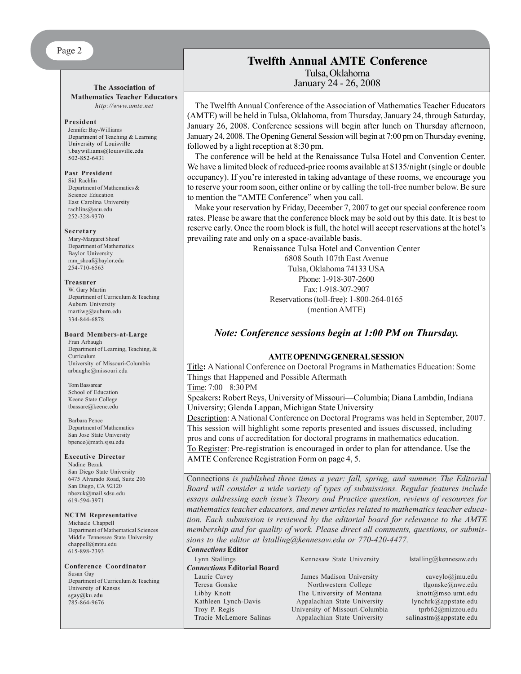## **The Association of Mathematics Teacher Educators**

*http://www.amte.net*

#### **President**

Jennifer Bay-Williams Department of Teaching & Learning University of Louisville j.baywilliams@louisville.edu  $502 - 852 - 6431$ 

#### **Past President**

Sid Rachlin Department of Mathematics & Science Education East Carolina University rachlins@ecu.edu 252-328-9370

#### **Secretary**

Mary-Margaret Shoaf Department of Mathematics Baylor University mm\_shoaf@baylor.edu 254-710-6563

#### **Treasurer**

W. Gary Martin Department of Curriculum & Teaching Auburn University martiwg@auburn.edu 334-844-6878

#### **Board Members-at-Large**

Fran Arbaugh Department of Learning, Teaching, & Curriculum University of Missouri-Columbia arbaughe@missouri.edu

Tom Bassarear School of Education Keene State College tbassare@keene.edu

Barbara Pence Department of Mathematics San Jose State University bpence@math.sjsu.edu

#### **Executive Director**

Nadine Bezuk San Diego State University 6475 Alvarado Road, Suite 206 San Diego, CA 92120 nbezuk@mail.sdsu.edu 619-594-3971

#### **NCTM Representative**

Michaele Chappell Department of Mathematical Sciences Middle Tennessee State University chappell@mtsu.edu 615-898-2393

**Conference Coordinator** Susan Gay Department of Curriculum & Teaching University of Kansas sgay@ku.edu 785-864-9676

## **Twelfth Annual AMTE Conference** Tulsa, Oklahoma January 24 - 26, 2008

The Twelfth Annual Conference of the Association of Mathematics Teacher Educators (AMTE) will be held in Tulsa, Oklahoma, from Thursday, January 24, through Saturday, January 26, 2008. Conference sessions will begin after lunch on Thursday afternoon, January 24, 2008. The Opening General Session will begin at 7:00 pm on Thursday evening, followed by a light reception at 8:30 pm.

The conference will be held at the Renaissance Tulsa Hotel and Convention Center. We have a limited block of reduced-price rooms available at \$135/night (single or double occupancy). If you're interested in taking advantage of these rooms, we encourage you to reserve your room soon, either online or by calling the toll-free number below. Be sure to mention the "AMTE Conference" when you call.

Make your reservation by Friday, December 7, 2007 to get our special conference room rates. Please be aware that the conference block may be sold out by this date. It is best to reserve early. Once the room block is full, the hotel will accept reservations at the hotel's prevailing rate and only on a space-available basis.

Renaissance Tulsa Hotel and Convention Center 6808 South 107th East Avenue Tulsa, Oklahoma 74133 USA Phone: 1-918-307-2600 Fax: 1-918-307-2907 Reservations (toll-free): 1-800-264-0165 (mention AMTE)

## *Note: Conference sessions begin at 1:00 PM on Thursday.*

#### **AMTE OPENING GENERAL SESSION**

Title**:** A National Conference on Doctoral Programs in Mathematics Education: Some Things that Happened and Possible Aftermath

Time: 7:00 – 8:30 PM

Speakers**:** Robert Reys, University of Missouri—Columbia; Diana Lambdin, Indiana University; Glenda Lappan, Michigan State University

Description: A National Conference on Doctoral Programs was held in September, 2007. This session will highlight some reports presented and issues discussed, including pros and cons of accreditation for doctoral programs in mathematics education. To Register: Pre-registration is encouraged in order to plan for attendance. Use the AMTE Conference Registration Form on page 4, 5.

Connections *is published three times a year: fall, spring, and summer. The Editorial Board will consider a wide variety of types of submissions. Regular features include essays addressing each issue's Theory and Practice question, reviews of resources for mathematics teacher educators, and news articles related to mathematics teacher education. Each submission is reviewed by the editorial board for relevance to the AMTE membership and for quality of work. Please direct all comments, questions, or submissions to the editor at lstalling@kennesaw.edu or 770-420-4477.*

## *Connections* **Editor**

*Connections* **Editorial Board** Laurie Cavey **State Cave Cave State Cave Account** James Madison University cave caveylo@jmu.edu Teresa Gonske Northwestern College tlgonske@nwc.edu Libby Knott The University of Montana knott@mso.umt.edu Kathleen Lynch-Davis Appalachian State University lynchrk@appstate.edu Troy P. Regis University of Missouri-Columbia tprb62@mizzou.edu Tracie McLemore Salinas Appalachian State University salinastm@appstate.edu

Lynn Stallings Kennesaw State University lstalling@kennesaw.edu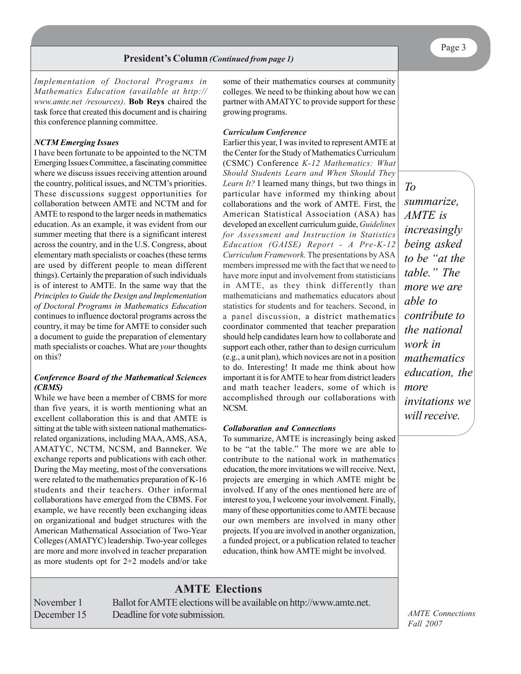*Implementation of Doctoral Programs in Mathematics Education (available at http:// www.amte.net /resources)*. **Bob Reys** chaired the task force that created this document and is chairing this conference planning committee.

#### *NCTM Emerging Issues*

I have been fortunate to be appointed to the NCTM Emerging Issues Committee, a fascinating committee where we discuss issues receiving attention around the country, political issues, and NCTM's priorities. These discussions suggest opportunities for collaboration between AMTE and NCTM and for AMTE to respond to the larger needs in mathematics education. As an example, it was evident from our summer meeting that there is a significant interest across the country, and in the U.S. Congress, about elementary math specialists or coaches (these terms are used by different people to mean different things). Certainly the preparation of such individuals is of interest to AMTE. In the same way that the *Principles to Guide the Design and Implementation of Doctoral Programs in Mathematics Education* continues to influence doctoral programs across the country, it may be time for AMTE to consider such a document to guide the preparation of elementary math specialists or coaches. What are *your* thoughts on this?

#### *Conference Board of the Mathematical Sciences (CBMS)*

While we have been a member of CBMS for more than five years, it is worth mentioning what an excellent collaboration this is and that AMTE is sitting at the table with sixteen national mathematicsrelated organizations, including MAA, AMS, ASA, AMATYC, NCTM, NCSM, and Banneker. We exchange reports and publications with each other. During the May meeting, most of the conversations were related to the mathematics preparation of K-16 students and their teachers. Other informal collaborations have emerged from the CBMS. For example, we have recently been exchanging ideas on organizational and budget structures with the American Mathematical Association of Two-Year Colleges (AMATYC) leadership. Two-year colleges are more and more involved in teacher preparation as more students opt for 2+2 models and/or take

some of their mathematics courses at community colleges. We need to be thinking about how we can partner with AMATYC to provide support for these growing programs.

#### *Curriculum Conference*

Earlier this year, I was invited to represent AMTE at the Center for the Study of Mathematics Curriculum (CSMC) Conference *K-12 Mathematics: What Should Students Learn and When Should They Learn It?* I learned many things, but two things in particular have informed my thinking about collaborations and the work of AMTE. First, the American Statistical Association (ASA) has developed an excellent curriculum guide, *Guidelines for Assessment and Instruction in Statistics Education (GAISE) Report - A Pre-K-12 Curriculum Framework.* The presentations by ASA members impressed me with the fact that we need to have more input and involvement from statisticians in AMTE, as they think differently than mathematicians and mathematics educators about statistics for students and for teachers. Second, in a panel discussion, a district mathematics coordinator commented that teacher preparation should help candidates learn how to collaborate and support each other, rather than to design curriculum (e.g., a unit plan), which novices are not in a position to do. Interesting! It made me think about how important it is for AMTE to hear from district leaders and math teacher leaders, some of which is accomplished through our collaborations with NCSM.

#### *Collaboration and Connections*

To summarize, AMTE is increasingly being asked to be "at the table." The more we are able to contribute to the national work in mathematics education, the more invitations we will receive. Next, projects are emerging in which AMTE might be involved. If any of the ones mentioned here are of interest to you, I welcome your involvement. Finally, many of these opportunities come to AMTE because our own members are involved in many other projects. If you are involved in another organization, a funded project, or a publication related to teacher education, think how AMTE might be involved.

## **AMTE Elections**

November 1 Ballot for AMTE elections will be available on http://www.amte.net. December 15 Deadline for vote submission.

*To summarize, AMTE is increasingly being asked to be "at the table." The more we are able to contribute to the national work in mathematics education, the more invitations we will receive.*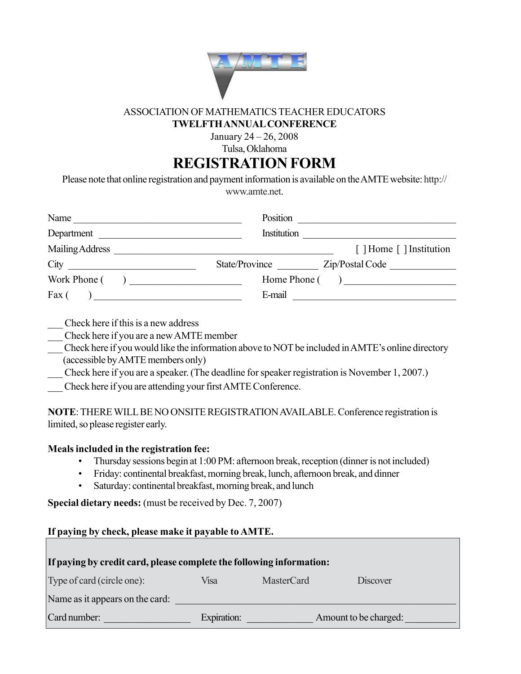

## ASSOCIATION OF MATHEMATICS TEACHER EDUCATORS **TWELFTH ANNUAL CONFERENCE**

January 24 – 26, 2008

Tulsa, Oklahoma

**REGISTRATION FORM**

Please note that online registration and payment information is available on the AMTE website: http:// www.amte.net.

| Name                                                                                                                                                                                                                                       | Position                          |
|--------------------------------------------------------------------------------------------------------------------------------------------------------------------------------------------------------------------------------------------|-----------------------------------|
| Department                                                                                                                                                                                                                                 | Institution                       |
| Mailing Address The Communication of the Communication of the Communication of the Communication of the Communication of the Communication of the Communication of the Communication of the Communication of the Communication             | [ ] Home [ ] Institution          |
| City                                                                                                                                                                                                                                       | State/Province<br>Zip/Postal Code |
| Work Phone (                                                                                                                                                                                                                               | Home  Phone( )                    |
| Fax $($<br>о производите на селото на селото на селото на селото на селото на селото на селото на селото на селото на сел<br>Селото на селото на селото на селото на селото на селото на селото на селото на селото на селото на селото на | E-mail                            |

\_\_\_ Check here if this is a new address

\_\_\_ Check here if you are a new AMTE member

\_\_\_ Check here if you would like the information above to NOT be included in AMTE's online directory (accessible by AMTE members only)

Check here if you are a speaker. (The deadline for speaker registration is November 1, 2007.)

\_\_\_ Check here if you are attending your first AMTE Conference.

**NOTE**: THERE WILL BE NO ONSITE REGISTRATION AVAILABLE. Conference registration is limited, so please register early.

## **Meals included in the registration fee:**

- Thursday sessions begin at 1:00 PM: afternoon break, reception (dinner is not included)
- Friday: continental breakfast, morning break, lunch, afternoon break, and dinner
- Saturday: continental breakfast, morning break, and lunch

**Special dietary needs:** (must be received by Dec. 7, 2007)

**If paying by check, please make it payable to AMTE. If paying by credit card, please complete the following information:** Type of card (circle one): Visa MasterCard Discover Name as it appears on the card: Card number: \_\_\_\_\_\_\_\_\_\_\_\_\_\_\_\_\_ Expiration: \_\_\_\_\_\_\_\_\_\_\_\_\_ Amount to be charged:\_\_\_\_\_\_\_\_\_\_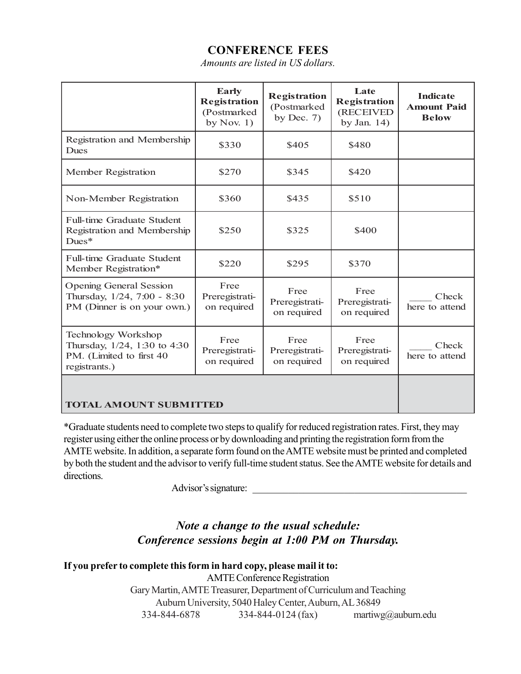## **CONFERENCE FEES**

*Amounts are listed in US dollars.*

|                                                                                                  | <b>Early</b><br><b>Registration</b><br>(Postmarked<br>by Nov. $1)$ | <b>Registration</b><br>(Postmarked<br>by Dec. $7)$ | Late<br><b>Registration</b><br>(RECEIVED<br>by Jan. $14$ ) | <b>Indicate</b><br><b>Amount Paid</b><br><b>Below</b> |
|--------------------------------------------------------------------------------------------------|--------------------------------------------------------------------|----------------------------------------------------|------------------------------------------------------------|-------------------------------------------------------|
| Registration and Membership<br><b>Dues</b>                                                       | \$330                                                              | \$405                                              | \$480                                                      |                                                       |
| Member Registration                                                                              | \$270                                                              | \$345                                              | \$420                                                      |                                                       |
| Non-Member Registration                                                                          | \$360                                                              | \$435                                              | \$510                                                      |                                                       |
| <b>Full-time Graduate Student</b><br>Registration and Membership<br>$Dues*$                      | \$250                                                              | \$325                                              | \$400                                                      |                                                       |
| Full-time Graduate Student<br>Member Registration*                                               | \$220                                                              | \$295                                              | \$370                                                      |                                                       |
| <b>Opening General Session</b><br>Thursday, 1/24, 7:00 - 8:30<br>PM (Dinner is on your own.)     | Free<br>Preregistrati-<br>on required                              | Free<br>Preregistrati-<br>on required              | Free<br>Preregistrati-<br>on required                      | Check<br>here to attend                               |
| Technology Workshop<br>Thursday, 1/24, 1:30 to 4:30<br>PM. (Limited to first 40<br>registrants.) | Free<br>Preregistrati-<br>on required                              | Free<br>Preregistrati-<br>on required              | Free<br>Preregistrati-<br>on required                      | Check<br>here to attend                               |
| <b>TOTAL AMOUNT SUBMITTED</b>                                                                    |                                                                    |                                                    |                                                            |                                                       |

\*Graduate students need to complete two steps to qualify for reduced registration rates. First, they may register using either the online process or by downloading and printing the registration form from the AMTE website. In addition, a separate form found on the AMTE website must be printed and completed by both the student and the advisor to verify full-time student status. See the AMTE website for details and directions.

Advisor's signature:

## *Note a change to the usual schedule: Conference sessions begin at 1:00 PM on Thursday.*

## **If you prefer to complete this form in hard copy, please mail it to:**

AMTE Conference Registration Gary Martin, AMTE Treasurer, Department of Curriculum and Teaching Auburn University, 5040 Haley Center, Auburn, AL 36849 334-844-6878 334-844-0124 (fax) martiwg@auburn.edu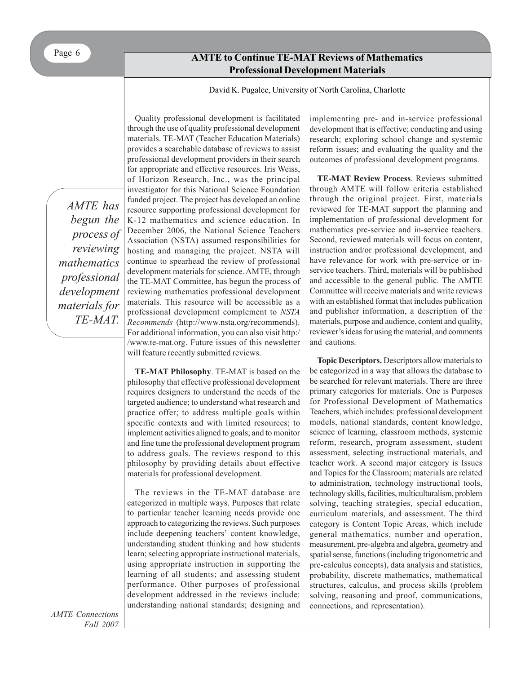## **Call for Proposals for 2008 Annual Conference Professional Development Materials AMTE to Continue TE-MAT Reviews of Mathematics**

David K. Pugalee, University of North Carolina, Charlotte

*AMTE has begun the process of reviewing mathematics professional development materials for TE-MAT.*

Quality professional development is facilitated through the use of quality professional development materials. TE-MAT (Teacher Education Materials) provides a searchable database of reviews to assist professional development providers in their search for appropriate and effective resources. Iris Weiss, of Horizon Research, Inc., was the principal investigator for this National Science Foundation funded project. The project has developed an online resource supporting professional development for K-12 mathematics and science education. In December 2006, the National Science Teachers Association (NSTA) assumed responsibilities for hosting and managing the project. NSTA will continue to spearhead the review of professional development materials for science. AMTE, through the TE-MAT Committee, has begun the process of reviewing mathematics professional development materials. This resource will be accessible as a professional development complement to *NSTA Recommends* (http://www.nsta.org/recommends). For additional information, you can also visit http:/ /www.te-mat.org. Future issues of this newsletter will feature recently submitted reviews.

**TE-MAT Philosophy**. TE-MAT is based on the philosophy that effective professional development requires designers to understand the needs of the targeted audience; to understand what research and practice offer; to address multiple goals within specific contexts and with limited resources; to implement activities aligned to goals; and to monitor and fine tune the professional development program to address goals. The reviews respond to this philosophy by providing details about effective materials for professional development.

The reviews in the TE-MAT database are categorized in multiple ways. Purposes that relate to particular teacher learning needs provide one approach to categorizing the reviews. Such purposes include deepening teachers' content knowledge, understanding student thinking and how students learn; selecting appropriate instructional materials, using appropriate instruction in supporting the learning of all students; and assessing student performance. Other purposes of professional development addressed in the reviews include: understanding national standards; designing and

implementing pre- and in-service professional development that is effective; conducting and using research; exploring school change and systemic reform issues; and evaluating the quality and the outcomes of professional development programs.

**TE-MAT Review Process**. Reviews submitted through AMTE will follow criteria established through the original project. First, materials reviewed for TE-MAT support the planning and implementation of professional development for mathematics pre-service and in-service teachers. Second, reviewed materials will focus on content, instruction and/or professional development, and have relevance for work with pre-service or inservice teachers. Third, materials will be published and accessible to the general public. The AMTE Committee will receive materials and write reviews with an established format that includes publication and publisher information, a description of the materials, purpose and audience, content and quality, reviewer's ideas for using the material, and comments and cautions.

**Topic Descriptors.** Descriptors allow materials to be categorized in a way that allows the database to be searched for relevant materials. There are three primary categories for materials. One is Purposes for Professional Development of Mathematics Teachers, which includes: professional development models, national standards, content knowledge, science of learning, classroom methods, systemic reform, research, program assessment, student assessment, selecting instructional materials, and teacher work. A second major category is Issues and Topics for the Classroom; materials are related to administration, technology instructional tools, technology skills, facilities, multiculturalism, problem solving, teaching strategies, special education, curriculum materials, and assessment. The third category is Content Topic Areas, which include general mathematics, number and operation, measurement, pre-algebra and algebra, geometry and spatial sense, functions (including trigonometric and pre-calculus concepts), data analysis and statistics, probability, discrete mathematics, mathematical structures, calculus, and process skills (problem solving, reasoning and proof, communications, connections, and representation).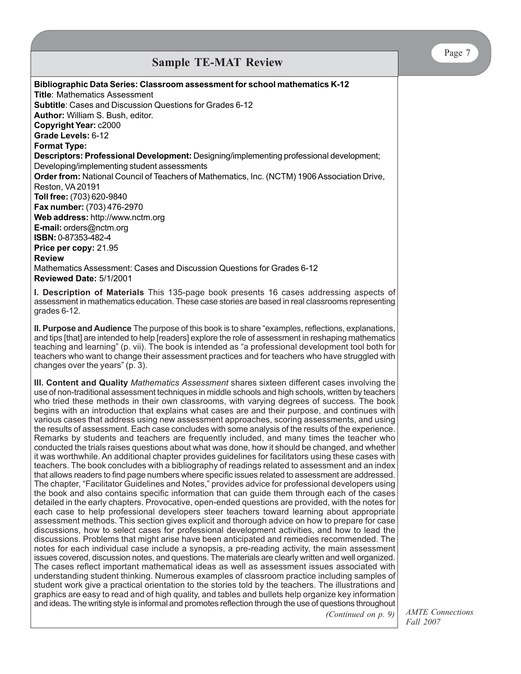| <b>Sample TE-MAT Review</b>                                                                                                                                                                                                                                                                                                                                                                                                                                                                                                                                                                                                                                                                                                                                                                                                                                                                                                                                                                                                                                                                                                                                                                                                                                                                                                                                                                                                                                                                                                                                                                                                                                                                                                                                                                                                                                                                                                                                                                                                                                                                                                                                                                                                                                                                                                                                                                                                                                                                                                                                                                          |
|------------------------------------------------------------------------------------------------------------------------------------------------------------------------------------------------------------------------------------------------------------------------------------------------------------------------------------------------------------------------------------------------------------------------------------------------------------------------------------------------------------------------------------------------------------------------------------------------------------------------------------------------------------------------------------------------------------------------------------------------------------------------------------------------------------------------------------------------------------------------------------------------------------------------------------------------------------------------------------------------------------------------------------------------------------------------------------------------------------------------------------------------------------------------------------------------------------------------------------------------------------------------------------------------------------------------------------------------------------------------------------------------------------------------------------------------------------------------------------------------------------------------------------------------------------------------------------------------------------------------------------------------------------------------------------------------------------------------------------------------------------------------------------------------------------------------------------------------------------------------------------------------------------------------------------------------------------------------------------------------------------------------------------------------------------------------------------------------------------------------------------------------------------------------------------------------------------------------------------------------------------------------------------------------------------------------------------------------------------------------------------------------------------------------------------------------------------------------------------------------------------------------------------------------------------------------------------------------------|
| Bibliographic Data Series: Classroom assessment for school mathematics K-12<br><b>Title: Mathematics Assessment</b><br><b>Subtitle:</b> Cases and Discussion Questions for Grades 6-12<br>Author: William S. Bush, editor.<br>Copyright Year: c2000<br>Grade Levels: 6-12<br><b>Format Type:</b>                                                                                                                                                                                                                                                                                                                                                                                                                                                                                                                                                                                                                                                                                                                                                                                                                                                                                                                                                                                                                                                                                                                                                                                                                                                                                                                                                                                                                                                                                                                                                                                                                                                                                                                                                                                                                                                                                                                                                                                                                                                                                                                                                                                                                                                                                                     |
| Descriptors: Professional Development: Designing/implementing professional development;<br>Developing/implementing student assessments<br>Order from: National Council of Teachers of Mathematics, Inc. (NCTM) 1906 Association Drive,<br>Reston, VA 20191<br>Toll free: (703) 620-9840<br>Fax number: (703) 476-2970<br>Web address: http://www.nctm.org<br>E-mail: orders@nctm.org<br>ISBN: 0-87353-482-4<br>Price per copy: 21.95<br><b>Review</b><br>Mathematics Assessment: Cases and Discussion Questions for Grades 6-12<br>Reviewed Date: 5/1/2001                                                                                                                                                                                                                                                                                                                                                                                                                                                                                                                                                                                                                                                                                                                                                                                                                                                                                                                                                                                                                                                                                                                                                                                                                                                                                                                                                                                                                                                                                                                                                                                                                                                                                                                                                                                                                                                                                                                                                                                                                                           |
| I. Description of Materials This 135-page book presents 16 cases addressing aspects of<br>assessment in mathematics education. These case stories are based in real classrooms representing<br>grades 6-12.                                                                                                                                                                                                                                                                                                                                                                                                                                                                                                                                                                                                                                                                                                                                                                                                                                                                                                                                                                                                                                                                                                                                                                                                                                                                                                                                                                                                                                                                                                                                                                                                                                                                                                                                                                                                                                                                                                                                                                                                                                                                                                                                                                                                                                                                                                                                                                                          |
| II. Purpose and Audience The purpose of this book is to share "examples, reflections, explanations,<br>and tips [that] are intended to help [readers] explore the role of assessment in reshaping mathematics<br>teaching and learning" (p. vii). The book is intended as "a professional development tool both for<br>teachers who want to change their assessment practices and for teachers who have struggled with<br>changes over the years" (p. 3).                                                                                                                                                                                                                                                                                                                                                                                                                                                                                                                                                                                                                                                                                                                                                                                                                                                                                                                                                                                                                                                                                                                                                                                                                                                                                                                                                                                                                                                                                                                                                                                                                                                                                                                                                                                                                                                                                                                                                                                                                                                                                                                                            |
| III. Content and Quality Mathematics Assessment shares sixteen different cases involving the<br>use of non-traditional assessment techniques in middle schools and high schools, written by teachers<br>who tried these methods in their own classrooms, with varying degrees of success. The book<br>begins with an introduction that explains what cases are and their purpose, and continues with<br>various cases that address using new assessment approaches, scoring assessments, and using<br>the results of assessment. Each case concludes with some analysis of the results of the experience.<br>Remarks by students and teachers are frequently included, and many times the teacher who<br>conducted the trials raises questions about what was done, how it should be changed, and whether<br>it was worthwhile. An additional chapter provides guidelines for facilitators using these cases with<br>teachers. The book concludes with a bibliography of readings related to assessment and an index<br>that allows readers to find page numbers where specific issues related to assessment are addressed.<br>The chapter, "Facilitator Guidelines and Notes," provides advice for professional developers using<br>the book and also contains specific information that can guide them through each of the cases<br>detailed in the early chapters. Provocative, open-ended questions are provided, with the notes for<br>each case to help professional developers steer teachers toward learning about appropriate<br>assessment methods. This section gives explicit and thorough advice on how to prepare for case<br>discussions, how to select cases for professional development activities, and how to lead the<br>discussions. Problems that might arise have been anticipated and remedies recommended. The<br>notes for each individual case include a synopsis, a pre-reading activity, the main assessment<br>issues covered, discussion notes, and questions. The materials are clearly written and well organized.<br>The cases reflect important mathematical ideas as well as assessment issues associated with<br>understanding student thinking. Numerous examples of classroom practice including samples of<br>student work give a practical orientation to the stories told by the teachers. The illustrations and<br>graphics are easy to read and of high quality, and tables and bullets help organize key information<br>and ideas. The writing style is informal and promotes reflection through the use of questions throughout<br>(Continued on p. 9) |

Page 7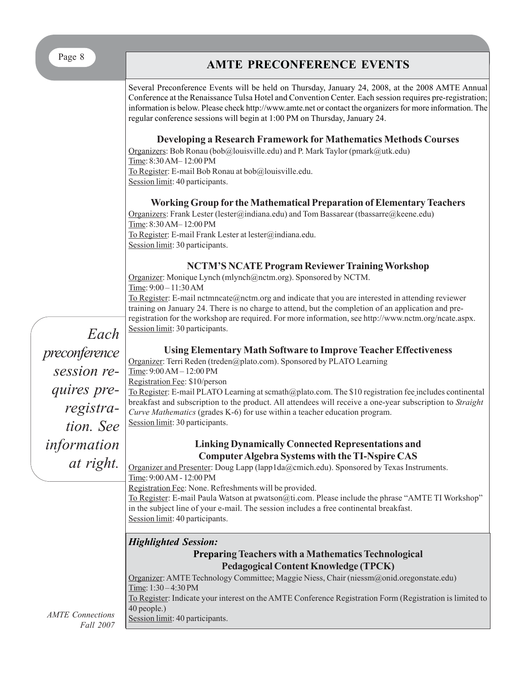# Page 8 **AMTE PRECONFERENCE EVENTS**

*AMTE Connections Fall 2007* Several Preconference Events will be held on Thursday, January 24, 2008, at the 2008 AMTE Annual Conference at the Renaissance Tulsa Hotel and Convention Center. Each session requires pre-registration; information is below. Please check http://www.amte.net or contact the organizers for more information. The regular conference sessions will begin at 1:00 PM on Thursday, January 24. **Developing a Research Framework for Mathematics Methods Courses** Organizers: Bob Ronau (bob@louisville.edu) and P. Mark Taylor (pmark@utk.edu) Time: 8:30 AM– 12:00 PM To Register: E-mail Bob Ronau at bob@louisville.edu. Session limit: 40 participants. **Working Group for the Mathematical Preparation of Elementary Teachers** Organizers: Frank Lester (lester@indiana.edu) and Tom Bassarear (tbassarre@keene.edu) Time: 8:30 AM– 12:00 PM To Register: E-mail Frank Lester at lester@indiana.edu. Session limit: 30 participants. **NCTM'S NCATE Program Reviewer Training Workshop** Organizer: Monique Lynch (mlynch@nctm.org). Sponsored by NCTM. Time: 9:00 – 11:30 AM To Register: E-mail nctmncate@nctm.org and indicate that you are interested in attending reviewer training on January 24. There is no charge to attend, but the completion of an application and preregistration for the workshop are required. For more information, see http://www.nctm.org/ncate.aspx. Session limit: 30 participants. **Using Elementary Math Software to Improve Teacher Effectiveness** Organizer: Terri Reden (treden@plato.com). Sponsored by PLATO Learning Time: 9:00 AM – 12:00 PM Registration Fee: \$10/person To Register: E-mail PLATO Learning at scmath@plato.com. The \$10 registration fee includes continental breakfast and subscription to the product. All attendees will receive a one-year subscription to *Straight Curve Mathematics* (grades K-6) for use within a teacher education program. Session limit: 30 participants. **Linking Dynamically Connected Representations and Computer Algebra Systems with the TI-Nspire CAS** Organizer and Presenter: Doug Lapp (lapp1da@cmich.edu). Sponsored by Texas Instruments. Time: 9:00 AM - 12:00 PM Registration Fee: None. Refreshments will be provided. To Register: E-mail Paula Watson at pwatson@ti.com. Please include the phrase "AMTE TI Workshop" in the subject line of your e-mail. The session includes a free continental breakfast. Session limit: 40 participants. *Highlighted Session:* **Preparing Teachers with a Mathematics Technological Pedagogical Content Knowledge (TPCK)** Organizer: AMTE Technology Committee; Maggie Niess, Chair (niessm@onid.oregonstate.edu) Time: 1:30 – 4:30 PM To Register: Indicate your interest on the AMTE Conference Registration Form (Registration is limited to 40 people.) Session limit: 40 participants. *Each preconference session requires preregistration. See information at right.*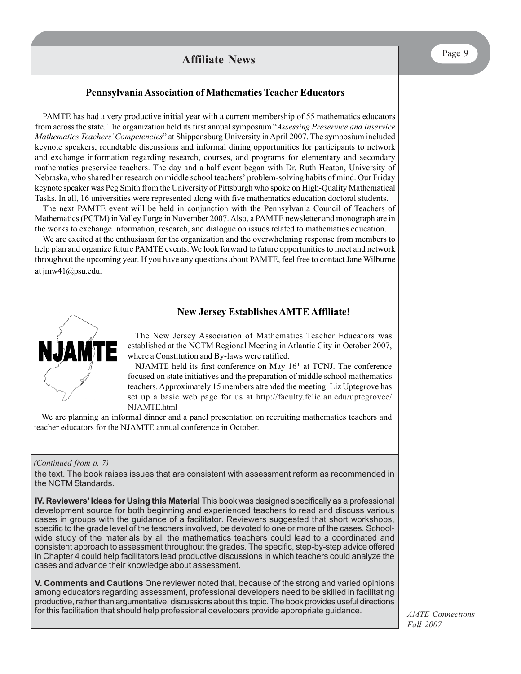## **Pennsylvania Association of Mathematics Teacher Educators**

PAMTE has had a very productive initial year with a current membership of 55 mathematics educators from across the state. The organization held its first annual symposium "*Assessing Preservice and Inservice Mathematics Teachers' Competencies*" at Shippensburg University in April 2007. The symposium included keynote speakers, roundtable discussions and informal dining opportunities for participants to network and exchange information regarding research, courses, and programs for elementary and secondary mathematics preservice teachers. The day and a half event began with Dr. Ruth Heaton, University of Nebraska, who shared her research on middle school teachers' problem-solving habits of mind. Our Friday keynote speaker was Peg Smith from the University of Pittsburgh who spoke on High-Quality Mathematical Tasks. In all, 16 universities were represented along with five mathematics education doctoral students.

The next PAMTE event will be held in conjunction with the Pennsylvania Council of Teachers of Mathematics (PCTM) in Valley Forge in November 2007. Also, a PAMTE newsletter and monograph are in the works to exchange information, research, and dialogue on issues related to mathematics education.

We are excited at the enthusiasm for the organization and the overwhelming response from members to help plan and organize future PAMTE events. We look forward to future opportunities to meet and network throughout the upcoming year. If you have any questions about PAMTE, feel free to contact Jane Wilburne at jmw41@psu.edu.

## **New Jersey Establishes AMTE Affiliate!**



The New Jersey Association of Mathematics Teacher Educators was established at the NCTM Regional Meeting in Atlantic City in October 2007, where a Constitution and By-laws were ratified.

NJAMTE held its first conference on May  $16<sup>th</sup>$  at TCNJ. The conference focused on state initiatives and the preparation of middle school mathematics teachers. Approximately 15 members attended the meeting. Liz Uptegrove has set up a basic web page for us at http://faculty.felician.edu/uptegrovee/ NJAMTE.html

We are planning an informal dinner and a panel presentation on recruiting mathematics teachers and teacher educators for the NJAMTE annual conference in October.

#### *(Continued from p. 7)*

the text. The book raises issues that are consistent with assessment reform as recommended in the NCTM Standards.

**IV. Reviewers' Ideas for Using this Material** This book was designed specifically as a professional development source for both beginning and experienced teachers to read and discuss various cases in groups with the guidance of a facilitator. Reviewers suggested that short workshops, specific to the grade level of the teachers involved, be devoted to one or more of the cases. Schoolwide study of the materials by all the mathematics teachers could lead to a coordinated and consistent approach to assessment throughout the grades. The specific, step-by-step advice offered in Chapter 4 could help facilitators lead productive discussions in which teachers could analyze the cases and advance their knowledge about assessment.

**V. Comments and Cautions** One reviewer noted that, because of the strong and varied opinions among educators regarding assessment, professional developers need to be skilled in facilitating productive, rather than argumentative, discussions about this topic. The book provides useful directions for this facilitation that should help professional developers provide appropriate guidance.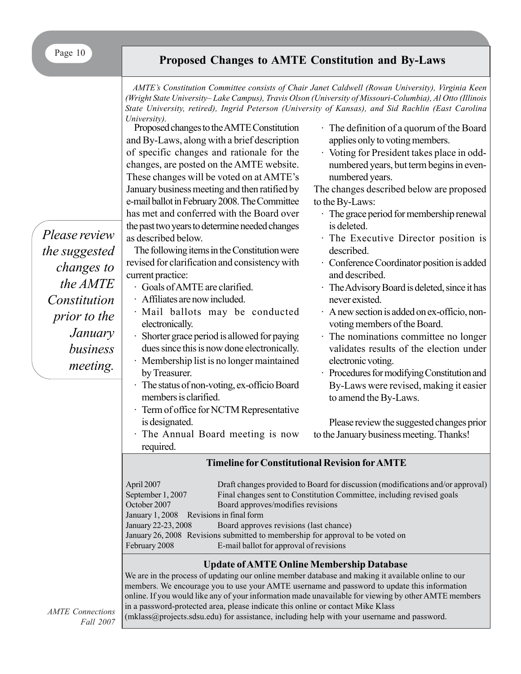# Page 10 **Proposed Changes to AMTE Constitution and By-Laws**

*AMTE's Constitution Committee consists of Chair Janet Caldwell (Rowan University), Virginia Keen (Wright State University– Lake Campus), Travis Olson (University of Missouri-Columbia), Al Otto (Illinois State University, retired), Ingrid Peterson (University of Kansas), and Sid Rachlin (East Carolina University).*

Proposed changes to the AMTE Constitution and By-Laws, along with a brief description of specific changes and rationale for the changes, are posted on the AMTE website. These changes will be voted on at AMTE's January business meeting and then ratified by e-mail ballot in February 2008. The Committee has met and conferred with the Board over the past two years to determine needed changes as described below.

The following items in the Constitution were revised for clarification and consistency with current practice:

- · Goals of AMTE are clarified.
- · Affiliates are now included.
- · Mail ballots may be conducted electronically.
- · Shorter grace period is allowed for paying dues since this is now done electronically.
- · Membership list is no longer maintained by Treasurer.
- · The status of non-voting, ex-officio Board members is clarified.
- · Term of office for NCTM Representative is designated.
- · The Annual Board meeting is now required.

## · The definition of a quorum of the Board applies only to voting members.

· Voting for President takes place in oddnumbered years, but term begins in evennumbered years.

The changes described below are proposed to the By-Laws:

- · The grace period for membership renewal is deleted.
- · The Executive Director position is described.
- · Conference Coordinator position is added and described.
- The Advisory Board is deleted, since it has never existed.
- · A new section is added on ex-officio, nonvoting members of the Board.
- · The nominations committee no longer validates results of the election under electronic voting.
- · Procedures for modifying Constitution and By-Laws were revised, making it easier to amend the By-Laws.

Please review the suggested changes prior to the January business meeting. Thanks!

## **Timeline for Constitutional Revision for AMTE**

| April 2007                              | Draft changes provided to Board for discussion (modifications and/or approval) |
|-----------------------------------------|--------------------------------------------------------------------------------|
| September 1, 2007                       | Final changes sent to Constitution Committee, including revised goals          |
| October 2007                            | Board approves/modifies revisions                                              |
| January 1, 2008 Revisions in final form |                                                                                |
| January 22-23, 2008                     | Board approves revisions (last chance)                                         |
|                                         | January 26, 2008 Revisions submitted to membership for approval to be voted on |
| February 2008                           | E-mail ballot for approval of revisions                                        |

## **Update of AMTE Online Membership Database**

We are in the process of updating our online member database and making it available online to our members. We encourage you to use your AMTE username and password to update this information online. If you would like any of your information made unavailable for viewing by other AMTE members in a password-protected area, please indicate this online or contact Mike Klass (mklass@projects.sdsu.edu) for assistance, including help with your username and password.

*Please review the suggested changes to the AMTE Constitution prior to the January business meeting.*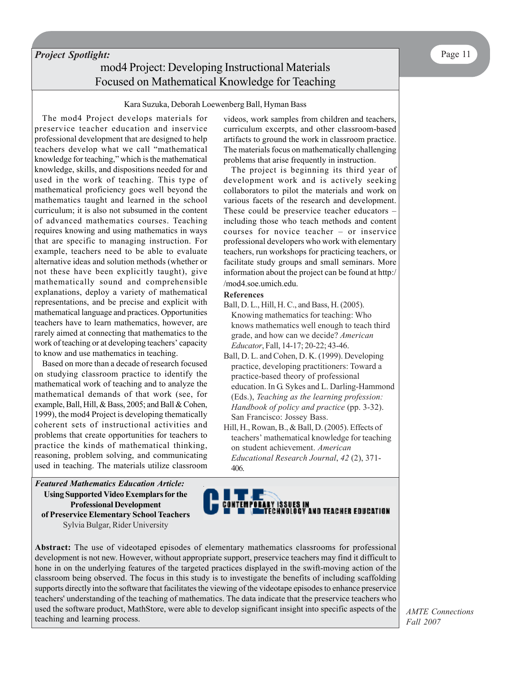## *Project Spotlight:* mod4 Project: Developing Instructional Materials Focused on Mathematical Knowledge for Teaching

#### Kara Suzuka, Deborah Loewenberg Ball, Hyman Bass

The mod4 Project develops materials for preservice teacher education and inservice professional development that are designed to help teachers develop what we call "mathematical knowledge for teaching," which is the mathematical knowledge, skills, and dispositions needed for and used in the work of teaching. This type of mathematical proficiency goes well beyond the mathematics taught and learned in the school curriculum; it is also not subsumed in the content of advanced mathematics courses. Teaching requires knowing and using mathematics in ways that are specific to managing instruction. For example, teachers need to be able to evaluate alternative ideas and solution methods (whether or not these have been explicitly taught), give mathematically sound and comprehensible explanations, deploy a variety of mathematical representations, and be precise and explicit with mathematical language and practices. Opportunities teachers have to learn mathematics, however, are rarely aimed at connecting that mathematics to the work of teaching or at developing teachers' capacity to know and use mathematics in teaching.

Based on more than a decade of research focused on studying classroom practice to identify the mathematical work of teaching and to analyze the mathematical demands of that work (see, for example, Ball, Hill, & Bass, 2005; and Ball & Cohen, 1999), the mod4 Project is developing thematically coherent sets of instructional activities and problems that create opportunities for teachers to practice the kinds of mathematical thinking, reasoning, problem solving, and communicating used in teaching. The materials utilize classroom

*Featured Mathematics Education Article:* **Using Supported Video Exemplars for the Professional Development of Preservice Elementary School Teachers** Sylvia Bulgar, Rider University

videos, work samples from children and teachers, curriculum excerpts, and other classroom-based artifacts to ground the work in classroom practice. The materials focus on mathematically challenging problems that arise frequently in instruction.

The project is beginning its third year of development work and is actively seeking collaborators to pilot the materials and work on various facets of the research and development. These could be preservice teacher educators – including those who teach methods and content courses for novice teacher – or inservice professional developers who work with elementary teachers, run workshops for practicing teachers, or facilitate study groups and small seminars. More information about the project can be found at http:/ /mod4.soe.umich.edu.

#### **References**

- Ball, D. L., Hill, H. C., and Bass, H. (2005). Knowing mathematics for teaching: Who knows mathematics well enough to teach third grade, and how can we decide? *American Educator*, Fall, 14-17; 20-22; 43-46.
- Ball, D. L. and Cohen, D. K. (1999). Developing practice, developing practitioners: Toward a practice-based theory of professional education. In G. Sykes and L. Darling-Hammond (Eds.), *Teaching as the learning profession: Handbook of policy and practice* (pp. 3-32). San Francisco: Jossey Bass.
- Hill, H., Rowan, B., & Ball, D. (2005). Effects of teachers' mathematical knowledge for teaching on student achievement. *American Educational Research Journal*, *42* (2), 371- 406.



**Abstract:** The use of videotaped episodes of elementary mathematics classrooms for professional development is not new. However, without appropriate support, preservice teachers may find it difficult to hone in on the underlying features of the targeted practices displayed in the swift-moving action of the classroom being observed. The focus in this study is to investigate the benefits of including scaffolding supports directly into the software that facilitates the viewing of the videotape episodes to enhance preservice teachers' understanding of the teaching of mathematics. The data indicate that the preservice teachers who used the software product, MathStore, were able to develop significant insight into specific aspects of the teaching and learning process.